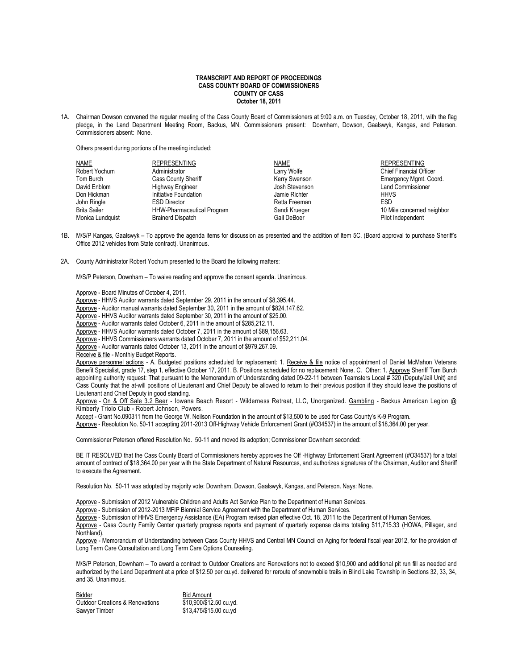## **TRANSCRIPT AND REPORT OF PROCEEDINGS CASS COUNTY BOARD OF COMMISSIONERS COUNTY OF CASS October 18, 2011**

1A. Chairman Dowson convened the regular meeting of the Cass County Board of Commissioners at 9:00 a.m. on Tuesday, October 18, 2011, with the flag pledge, in the Land Department Meeting Room, Backus, MN. Commissioners present: Downham, Dowson, Gaalswyk, Kangas, and Peterson. Commissioners absent: None.

Others present during portions of the meeting included:

| NAME                | <b>REPRESENTING</b>               | <b>NAME</b>    | <b>REPRESENTING</b>            |
|---------------------|-----------------------------------|----------------|--------------------------------|
| Robert Yochum       | Administrator                     | Larry Wolfe    | <b>Chief Financial Officer</b> |
| Tom Burch           | Cass County Sheriff               | Kerry Swenson  | Emergency Mgmt. Coord.         |
| David Enblom        | Highway Engineer                  | Josh Stevenson | <b>Land Commissioner</b>       |
| Don Hickman         | Initiative Foundation             | Jamie Richter  | <b>HHVS</b>                    |
| John Ringle         | <b>ESD Director</b>               | Retta Freeman  | <b>ESD</b>                     |
| <b>Brita Sailer</b> | <b>HHW-Pharmaceutical Program</b> | Sandi Krueger  | 10 Mile concerned neighbor     |
| Monica Lundquist    | <b>Brainerd Dispatch</b>          | Gail DeBoer    | Pilot Independent              |

- 1B. M/S/P Kangas, Gaalswyk To approve the agenda items for discussion as presented and the addition of Item 5C. (Board approval to purchase Sheriff's Office 2012 vehicles from State contract). Unanimous.
- 2A. County Administrator Robert Yochum presented to the Board the following matters:

M/S/P Peterson, Downham – To waive reading and approve the consent agenda. Unanimous.

- Approve Board Minutes of October 4, 2011.
- Approve HHVS Auditor warrants dated September 29, 2011 in the amount of \$8,395.44.
- Approve Auditor manual warrants dated September 30, 2011 in the amount of \$824,147.62.
- Approve HHVS Auditor warrants dated September 30, 2011 in the amount of \$25.00.
- Approve Auditor warrants dated October 6, 2011 in the amount of \$285,212.11.
- Approve HHVS Auditor warrants dated October 7, 2011 in the amount of \$89,156.63.

Approve - HHVS Commissioners warrants dated October 7, 2011 in the amount of \$52,211.04.

Approve - Auditor warrants dated October 13, 2011 in the amount of \$979,267.09.

Receive & file - Monthly Budget Reports.

Approve personnel actions - A. Budgeted positions scheduled for replacement: 1. Receive & file notice of appointment of Daniel McMahon Veterans Benefit Specialist, grade 17, step 1, effective October 17, 2011. B. Positions scheduled for no replacement: None. C. Other: 1. Approve Sheriff Tom Burch appointing authority request: That pursuant to the Memorandum of Understanding dated 09-22-11 between Teamsters Local # 320 (Deputy/Jail Unit) and Cass County that the at-will positions of Lieutenant and Chief Deputy be allowed to return to their previous position if they should leave the positions of Lieutenant and Chief Deputy in good standing.

Approve - On & Off Sale 3.2 Beer - Iowana Beach Resort - Wilderness Retreat, LLC, Unorganized. Gambling - Backus American Legion @ Kimberly Triolo Club - Robert Johnson, Powers.

Accept - Grant No.090311 from the George W. Neilson Foundation in the amount of \$13,500 to be used for Cass County's K-9 Program.

Approve - Resolution No. 50-11 accepting 2011-2013 Off-Highway Vehicle Enforcement Grant (#O34537) in the amount of \$18,364.00 per year.

Commissioner Peterson offered Resolution No. 50-11 and moved its adoption; Commissioner Downham seconded:

BE IT RESOLVED that the Cass County Board of Commissioners hereby approves the Off -Highway Enforcement Grant Agreement (#O34537) for a total amount of contract of \$18,364.00 per year with the State Department of Natural Resources, and authorizes signatures of the Chairman, Auditor and Sheriff to execute the Agreement.

Resolution No. 50-11 was adopted by majority vote: Downham, Dowson, Gaalswyk, Kangas, and Peterson. Nays: None.

Approve - Submission of 2012 Vulnerable Children and Adults Act Service Plan to the Department of Human Services.

Approve - Submission of 2012-2013 MFIP Biennial Service Agreement with the Department of Human Services.

Approve - Submission of HHVS Emergency Assistance (EA) Program revised plan effective Oct. 18, 2011 to the Department of Human Services.

Approve - Cass County Family Center quarterly progress reports and payment of quarterly expense claims totaling \$11,715.33 (HOWA, Pillager, and Northland).

Approve - Memorandum of Understanding between Cass County HHVS and Central MN Council on Aging for federal fiscal year 2012, for the provision of Long Term Care Consultation and Long Term Care Options Counseling.

M/S/P Peterson, Downham – To award a contract to Outdoor Creations and Renovations not to exceed \$10,900 and additional pit run fill as needed and authorized by the Land Department at a price of \$12.50 per cu.yd. delivered for reroute of snowmobile trails in Blind Lake Township in Sections 32, 33, 34, and 35. Unanimous.

**Bidder**<br>Outdoor Creations & Renovations **Bid Amount**<br>
\$10.900/\$12.50 cu.vd. Outdoor Creations & Renovations Sawyer Timber \$13,475/\$15.00 cu.yd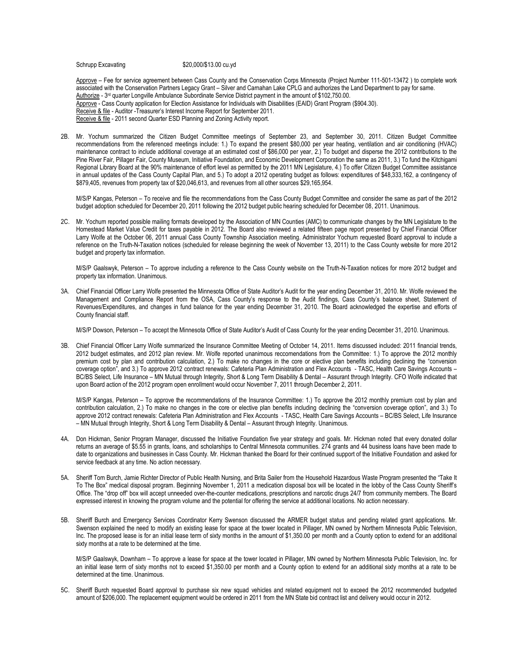Schrupp Excavating \$20,000/\$13.00 cu.yd

Approve – Fee for service agreement between Cass County and the Conservation Corps Minnesota (Project Number 111-501-13472) to complete work associated with the Conservation Partners Legacy Grant – Silver and Carnahan Lake CPLG and authorizes the Land Department to pay for same. Authorize - 3<sup>rd</sup> quarter Longville Ambulance Subordinate Service District payment in the amount of \$102,750.00. Approve - Cass County application for Election Assistance for Individuals with Disabilities (EAID) Grant Program (\$904.30). Receive & file - Auditor -Treasurer's Interest Income Report for September 2011. Receive & file - 2011 second Quarter ESD Planning and Zoning Activity report.

2B. Mr. Yochum summarized the Citizen Budget Committee meetings of September 23, and September 30, 2011. Citizen Budget Committee recommendations from the referenced meetings include: 1.) To expand the present \$80,000 per year heating, ventilation and air conditioning (HVAC) maintenance contract to include additional coverage at an estimated cost of \$86,000 per year, 2.) To budget and disperse the 2012 contributions to the Pine River Fair, Pillager Fair, County Museum, Initiative Foundation, and Economic Development Corporation the same as 2011, 3.) To fund the Kitchigami Regional Library Board at the 90% maintenance of effort level as permitted by the 2011 MN Legislature, 4.) To offer Citizen Budget Committee assistance in annual updates of the Cass County Capital Plan, and 5.) To adopt a 2012 operating budget as follows: expenditures of \$48,333,162, a contingency of \$879,405, revenues from property tax of \$20,046,613, and revenues from all other sources \$29,165,954.

M/S/P Kangas, Peterson – To receive and file the recommendations from the Cass County Budget Committee and consider the same as part of the 2012 budget adoption scheduled for December 20, 2011 following the 2012 budget public hearing scheduled for December 08, 2011. Unanimous.

2C. Mr. Yochum reported possible mailing formats developed by the Association of MN Counties (AMC) to communicate changes by the MN Legislature to the Homestead Market Value Credit for taxes payable in 2012. The Board also reviewed a related fifteen page report presented by Chief Financial Officer Larry Wolfe at the October 06, 2011 annual Cass County Township Association meeting. Administrator Yochum requested Board approval to include a reference on the Truth-N-Taxation notices (scheduled for release beginning the week of November 13, 2011) to the Cass County website for more 2012 budget and property tax information.

M/S/P Gaalswyk, Peterson – To approve including a reference to the Cass County website on the Truth-N-Taxation notices for more 2012 budget and property tax information. Unanimous.

3A. Chief Financial Officer Larry Wolfe presented the Minnesota Office of State Auditor's Audit for the year ending December 31, 2010. Mr. Wolfe reviewed the Management and Compliance Report from the OSA, Cass County's response to the Audit findings, Cass County's balance sheet, Statement of Revenues/Expenditures, and changes in fund balance for the year ending December 31, 2010. The Board acknowledged the expertise and efforts of County financial staff.

M/S/P Dowson, Peterson - To accept the Minnesota Office of State Auditor's Audit of Cass County for the year ending December 31, 2010. Unanimous.

3B. Chief Financial Officer Larry Wolfe summarized the Insurance Committee Meeting of October 14, 2011. Items discussed included: 2011 financial trends, 2012 budget estimates, and 2012 plan review. Mr. Wolfe reported unanimous reccomendations from the Committee: 1.) To approve the 2012 monthly premium cost by plan and contribution calculation, 2.) To make no changes in the core or elective plan benefits including declining the "conversion coverage option", and 3.) To approve 2012 contract renewals: Cafeteria Plan Administration and Flex Accounts - TASC, Health Care Savings Accounts – BC/BS Select, Life Insurance – MN Mutual through Integrity, Short & Long Term Disability & Dental – Assurant through Integrity. CFO Wolfe indicated that upon Board action of the 2012 program open enrollment would occur November 7, 2011 through December 2, 2011.

M/S/P Kangas, Peterson – To approve the recommendations of the Insurance Committee: 1.) To approve the 2012 monthly premium cost by plan and contribution calculation, 2.) To make no changes in the core or elective plan benefits including declining the "conversion coverage option", and 3.) To approve 2012 contract renewals: Cafeteria Plan Administration and Flex Accounts - TASC, Health Care Savings Accounts – BC/BS Select, Life Insurance – MN Mutual through Integrity, Short & Long Term Disability & Dental – Assurant through Integrity. Unanimous.

- 4A. Don Hickman, Senior Program Manager, discussed the Initiative Foundation five year strategy and goals. Mr. Hickman noted that every donated dollar returns an average of \$5.55 in grants, loans, and scholarships to Central Minnesota communities. 274 grants and 44 business loans have been made to date to organizations and businesses in Cass County. Mr. Hickman thanked the Board for their continued support of the Initiative Foundation and asked for service feedback at any time. No action necessary.
- 5A. Sheriff Tom Burch, Jamie Richter Director of Public Health Nursing, and Brita Sailer from the Household Hazardous Waste Program presented the "Take It To The Box" medical disposal program. Beginning November 1, 2011 a medication disposal box will be located in the lobby of the Cass County Sheriff's Office. The "drop off" box will accept unneeded over-the-counter medications, prescriptions and narcotic drugs 24/7 from community members. The Board expressed interest in knowing the program volume and the potential for offering the service at additional locations. No action necessary.
- 5B. Sheriff Burch and Emergency Services Coordinator Kerry Swenson discussed the ARMER budget status and pending related grant applications. Mr. Swenson explained the need to modify an existing lease for space at the tower located in Pillager, MN owned by Northern Minnesota Public Television, Inc. The proposed lease is for an initial lease term of sixty months in the amount of \$1,350.00 per month and a County option to extend for an additional sixty months at a rate to be determined at the time.

M/S/P Gaalswyk, Downham – To approve a lease for space at the tower located in Pillager, MN owned by Northern Minnesota Public Television, Inc. for an initial lease term of sixty months not to exceed \$1,350.00 per month and a County option to extend for an additional sixty months at a rate to be determined at the time. Unanimous.

5C. Sheriff Burch requested Board approval to purchase six new squad vehicles and related equipment not to exceed the 2012 recommended budgeted amount of \$206,000. The replacement equipment would be ordered in 2011 from the MN State bid contract list and delivery would occur in 2012.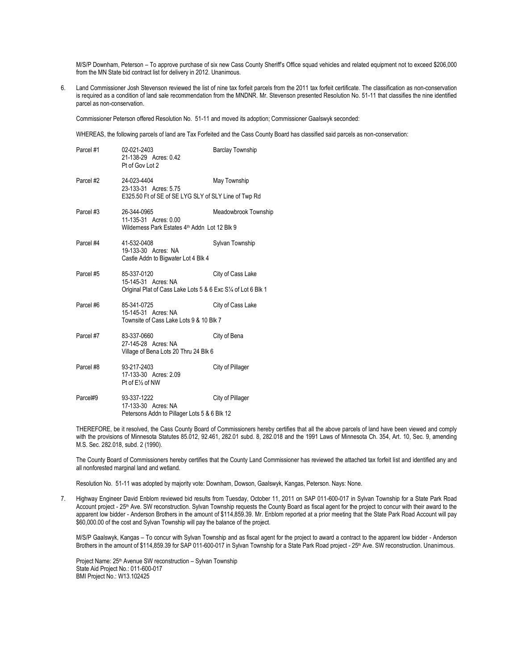M/S/P Downham, Peterson – To approve purchase of six new Cass County Sheriff's Office squad vehicles and related equipment not to exceed \$206,000 from the MN State bid contract list for delivery in 2012. Unanimous.

6. Land Commissioner Josh Stevenson reviewed the list of nine tax forfeit parcels from the 2011 tax forfeit certificate. The classification as non-conservation is required as a condition of land sale recommendation from the MNDNR. Mr. Stevenson presented Resolution No. 51-11 that classifies the nine identified parcel as non-conservation.

Commissioner Peterson offered Resolution No. 51-11 and moved its adoption; Commissioner Gaalswyk seconded:

WHEREAS, the following parcels of land are Tax Forfeited and the Cass County Board has classified said parcels as non-conservation:

| Parcel #1 | 02-021-2403<br>21-138-29 Acres: 0.42<br>Pt of Gov Lot 2                   | <b>Barclay Township</b> |  |
|-----------|---------------------------------------------------------------------------|-------------------------|--|
| Parcel #2 | 24-023-4404<br>23-133-31 Acres: 5.75                                      | May Township            |  |
|           | E325.50 Ft of SE of SE LYG SLY of SLY Line of Twp Rd                      |                         |  |
| Parcel #3 | 26-344-0965<br>11-135-31 Acres: 0.00                                      | Meadowbrook Township    |  |
|           | Wildemess Park Estates 4th Addn Lot 12 Blk 9                              |                         |  |
| Parcel #4 | 41-532-0408<br>19-133-30 Acres: NA<br>Castle Addn to Bigwater Lot 4 Blk 4 | Sylvan Township         |  |
| Parcel #5 | 85-337-0120<br>15-145-31 Acres: NA                                        | City of Cass Lake       |  |
|           | Original Plat of Cass Lake Lots 5 & 6 Exc S1/4 of Lot 6 Blk 1             |                         |  |
| Parcel #6 | 85-341-0725<br>15-145-31 Acres: NA                                        | City of Cass Lake       |  |
|           | Townsite of Cass Lake Lots 9 & 10 Blk 7                                   |                         |  |
| Parcel #7 | 83-337-0660<br>27-145-28 Acres: NA                                        | City of Bena            |  |
|           | Village of Bena Lots 20 Thru 24 Blk 6                                     |                         |  |
| Parcel #8 | 93-217-2403<br>17-133-30 Acres: 2.09                                      | City of Pillager        |  |
|           | Pt of E1/ <sub>2</sub> of NW                                              |                         |  |
| Parce#9   | 93-337-1222<br>17-133-30 Acres: NA                                        | City of Pillager        |  |
|           | Petersons Addn to Pillager Lots 5 & 6 Blk 12                              |                         |  |

THEREFORE, be it resolved, the Cass County Board of Commissioners hereby certifies that all the above parcels of land have been viewed and comply with the provisions of Minnesota Statutes 85.012, 92.461, 282.01 subd. 8, 282.018 and the 1991 Laws of Minnesota Ch. 354, Art. 10, Sec. 9, amending M.S. Sec. 282.018, subd. 2 (1990).

The County Board of Commissioners hereby certifies that the County Land Commissioner has reviewed the attached tax forfeit list and identified any and all nonforested marginal land and wetland.

Resolution No. 51-11 was adopted by majority vote: Downham, Dowson, Gaalswyk, Kangas, Peterson. Nays: None.

7. Highway Engineer David Enblom reviewed bid results from Tuesday, October 11, 2011 on SAP 011-600-017 in Sylvan Township for a State Park Road Account project - 25th Ave. SW reconstruction. Sylvan Township requests the County Board as fiscal agent for the project to concur with their award to the apparent low bidder - Anderson Brothers in the amount of \$114,859.39. Mr. Enblom reported at a prior meeting that the State Park Road Account will pay \$60,000.00 of the cost and Sylvan Township will pay the balance of the project.

M/S/P Gaalswyk, Kangas – To concur with Sylvan Township and as fiscal agent for the project to award a contract to the apparent low bidder - Anderson Brothers in the amount of \$114,859.39 for SAP 011-600-017 in Sylvan Township for a State Park Road project - 25<sup>th</sup> Ave. SW reconstruction. Unanimous.

Project Name: 25<sup>th</sup> Avenue SW reconstruction – Sylvan Township State Aid Project No.: 011-600-017 BMI Project No.: W13.102425